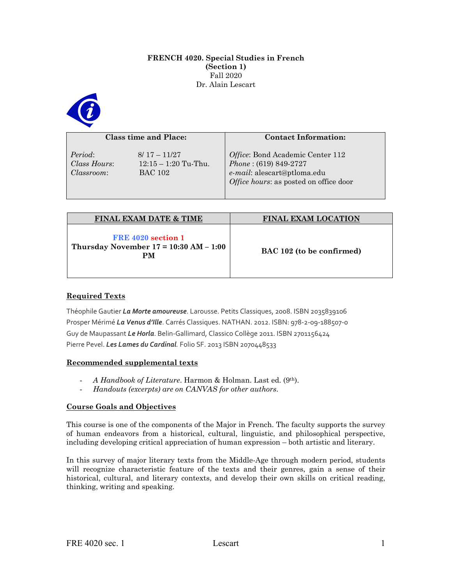#### **FRENCH 4020. Special Studies in French (Section 1)** Fall 2020 Dr. Alain Lescart



#### **Class time and Place:**

*Period*: 8/ 17 – 11/27 *Classroom*: BAC 102

*Class Hours*: 12:15 – 1:20 Tu-Thu.

# *Office*: Bond Academic Center 112 *Phone* : (619) 849-2727 *e-mail*: alescart@ptloma.edu *Office hours*: as posted on office door

**Contact Information:**

| <b>FINAL EXAM DATE &amp; TIME</b>                                      | <b>FINAL EXAM LOCATION</b> |
|------------------------------------------------------------------------|----------------------------|
| FRE 4020 section 1<br>Thursday November $17 = 10:30$ AM $- 1:00$<br>PМ | BAC 102 (to be confirmed)  |

# **Required Texts**

Théophile Gautier *La Morte amoureuse*. Larousse. Petits Classiques, 2008. ISBN 2035839106 Prosper Mérimé *La Venus d'Ille*. Carrés Classiques. NATHAN. 2012. ISBN: 978-2-09-188507-0 Guy de Maupassant *Le Horla*. Belin-Gallimard, Classico Collège 2011. ISBN 2701156424 Pierre Pevel. *Les Lames du Cardinal.* Folio SF. 2013 ISBN 2070448533

# **Recommended supplemental texts**

- *A Handbook of Literature*. Harmon & Holman. Last ed. (9th).
- *Handouts (excerpts) are on CANVAS for other authors*.

# **Course Goals and Objectives**

This course is one of the components of the Major in French. The faculty supports the survey of human endeavors from a historical, cultural, linguistic, and philosophical perspective, including developing critical appreciation of human expression – both artistic and literary.

In this survey of major literary texts from the Middle-Age through modern period, students will recognize characteristic feature of the texts and their genres, gain a sense of their historical, cultural, and literary contexts, and develop their own skills on critical reading, thinking, writing and speaking.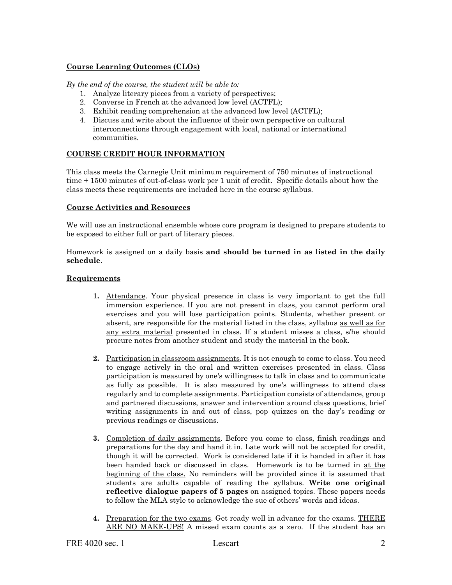# **Course Learning Outcomes (CLOs)**

*By the end of the course, the student will be able to:*

- 1. Analyze literary pieces from a variety of perspectives;
- 2. Converse in French at the advanced low level (ACTFL);
- 3. Exhibit reading comprehension at the advanced low level (ACTFL);
- 4. Discuss and write about the influence of their own perspective on cultural interconnections through engagement with local, national or international communities.

# **COURSE CREDIT HOUR INFORMATION**

This class meets the Carnegie Unit minimum requirement of 750 minutes of instructional time + 1500 minutes of out-of-class work per 1 unit of credit. Specific details about how the class meets these requirements are included here in the course syllabus.

#### **Course Activities and Resources**

We will use an instructional ensemble whose core program is designed to prepare students to be exposed to either full or part of literary pieces.

Homework is assigned on a daily basis **and should be turned in as listed in the daily schedule**.

#### **Requirements**

- **1.** Attendance. Your physical presence in class is very important to get the full immersion experience. If you are not present in class, you cannot perform oral exercises and you will lose participation points. Students, whether present or absent, are responsible for the material listed in the class, syllabus as well as for any extra material presented in class. If a student misses a class, s/he should procure notes from another student and study the material in the book.
- **2.** Participation in classroom assignments. It is not enough to come to class. You need to engage actively in the oral and written exercises presented in class. Class participation is measured by one's willingness to talk in class and to communicate as fully as possible. It is also measured by one's willingness to attend class regularly and to complete assignments. Participation consists of attendance, group and partnered discussions, answer and intervention around class questions, brief writing assignments in and out of class, pop quizzes on the day's reading or previous readings or discussions.
- **3.** Completion of daily assignments. Before you come to class, finish readings and preparations for the day and hand it in. Late work will not be accepted for credit, though it will be corrected. Work is considered late if it is handed in after it has been handed back or discussed in class. Homework is to be turned in at the beginning of the class. No reminders will be provided since it is assumed that students are adults capable of reading the syllabus. **Write one original reflective dialogue papers of 5 pages** on assigned topics. These papers needs to follow the MLA style to acknowledge the sue of others' words and ideas.
- **4.** Preparation for the two exams. Get ready well in advance for the exams. THERE ARE NO MAKE-UPS! A missed exam counts as a zero. If the student has an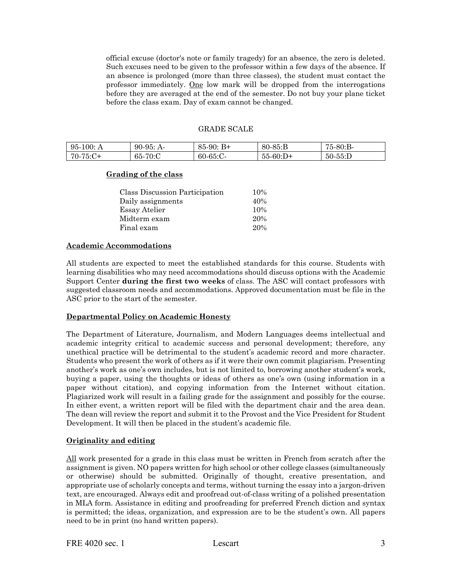official excuse (doctor's note or family tragedy) for an absence, the zero is deleted. Such excuses need to be given to the professor within a few days of the absence. If an absence is prolonged (more than three classes), the student must contact the professor immediately. One low mark will be dropped from the interrogations before they are averaged at the end of the semester. Do not buy your plane ticket before the class exam. Day of exam cannot be changed.

#### GRADE SCALE

| $95-100: A$ | $90-95: A-$        | $85-90:$<br>$B+$ | $80 - 85 : B$ | 75-80:B-   |
|-------------|--------------------|------------------|---------------|------------|
| 70-75:C+    | $-70$ :C<br>$65 -$ | $60-65$ :C       | $55 - 60$ :D+ | $50-55$ :D |

# **Grading of the class**

| Class Discussion Participation | 10% |
|--------------------------------|-----|
| Daily assignments              | 40% |
| <b>Essay Atelier</b>           | 10% |
| Midterm exam                   | 20% |
| Final exam                     | 20% |

#### **Academic Accommodations**

All students are expected to meet the established standards for this course. Students with learning disabilities who may need accommodations should discuss options with the Academic Support Center **during the first two weeks** of class. The ASC will contact professors with suggested classroom needs and accommodations. Approved documentation must be file in the ASC prior to the start of the semester.

#### **Departmental Policy on Academic Honesty**

The Department of Literature, Journalism, and Modern Languages deems intellectual and academic integrity critical to academic success and personal development; therefore, any unethical practice will be detrimental to the student's academic record and more character. Students who present the work of others as if it were their own commit plagiarism. Presenting another's work as one's own includes, but is not limited to, borrowing another student's work, buying a paper, using the thoughts or ideas of others as one's own (using information in a paper without citation), and copying information from the Internet without citation. Plagiarized work will result in a failing grade for the assignment and possibly for the course. In either event, a written report will be filed with the department chair and the area dean. The dean will review the report and submit it to the Provost and the Vice President for Student Development. It will then be placed in the student's academic file.

# **Originality and editing**

All work presented for a grade in this class must be written in French from scratch after the assignment is given. NO papers written for high school or other college classes (simultaneously or otherwise) should be submitted. Originally of thought, creative presentation, and appropriate use of scholarly concepts and terms, without turning the essay into a jargon-driven text, are encouraged. Always edit and proofread out-of-class writing of a polished presentation in MLA form. Assistance in editing and proofreading for preferred French diction and syntax is permitted; the ideas, organization, and expression are to be the student's own. All papers need to be in print (no hand written papers).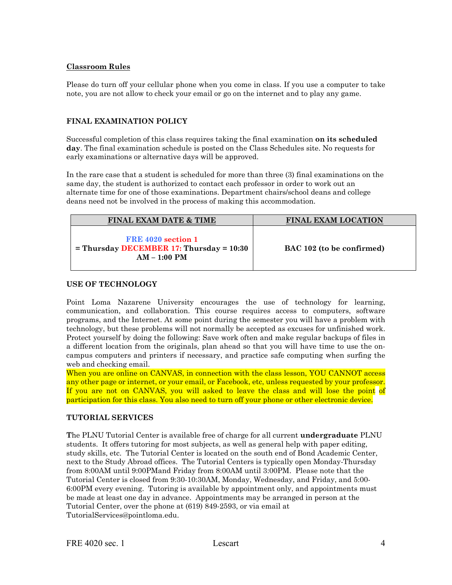#### **Classroom Rules**

Please do turn off your cellular phone when you come in class. If you use a computer to take note, you are not allow to check your email or go on the internet and to play any game.

# **FINAL EXAMINATION POLICY**

Successful completion of this class requires taking the final examination **on its scheduled day**. The final examination schedule is posted on the Class Schedules site. No requests for early examinations or alternative days will be approved.

In the rare case that a student is scheduled for more than three (3) final examinations on the same day, the student is authorized to contact each professor in order to work out an alternate time for one of those examinations. Department chairs/school deans and college deans need not be involved in the process of making this accommodation.

| <b>FINAL EXAM DATE &amp; TIME</b>                                                    | <b>FINAL EXAM LOCATION</b> |
|--------------------------------------------------------------------------------------|----------------------------|
| FRE 4020 section 1<br>$=$ Thursday DECEMBER 17: Thursday $= 10:30$<br>$AM - 1:00 PM$ | BAC 102 (to be confirmed)  |

# **USE OF TECHNOLOGY**

Point Loma Nazarene University encourages the use of technology for learning, communication, and collaboration. This course requires access to computers, software programs, and the Internet. At some point during the semester you will have a problem with technology, but these problems will not normally be accepted as excuses for unfinished work. Protect yourself by doing the following: Save work often and make regular backups of files in a different location from the originals, plan ahead so that you will have time to use the oncampus computers and printers if necessary, and practice safe computing when surfing the web and checking email.

When you are online on CANVAS, in connection with the class lesson, YOU CANNOT access any other page or internet, or your email, or Facebook, etc, unless requested by your professor. If you are not on CANVAS, you will asked to leave the class and will lose the point of participation for this class. You also need to turn off your phone or other electronic device.

# **TUTORIAL SERVICES**

**T**he PLNU Tutorial Center is available free of charge for all current **undergraduate** PLNU students. It offers tutoring for most subjects, as well as general help with paper editing, study skills, etc. The Tutorial Center is located on the south end of Bond Academic Center, next to the Study Abroad offices. The Tutorial Centers is typically open Monday-Thursday from 8:00AM until 9:00PMand Friday from 8:00AM until 3:00PM. Please note that the Tutorial Center is closed from 9:30-10:30AM, Monday, Wednesday, and Friday, and 5:00- 6:00PM every evening. Tutoring is available by appointment only, and appointments must be made at least one day in advance. Appointments may be arranged in person at the Tutorial Center, over the phone at (619) 849-2593, or via email at TutorialServices@pointloma.edu.